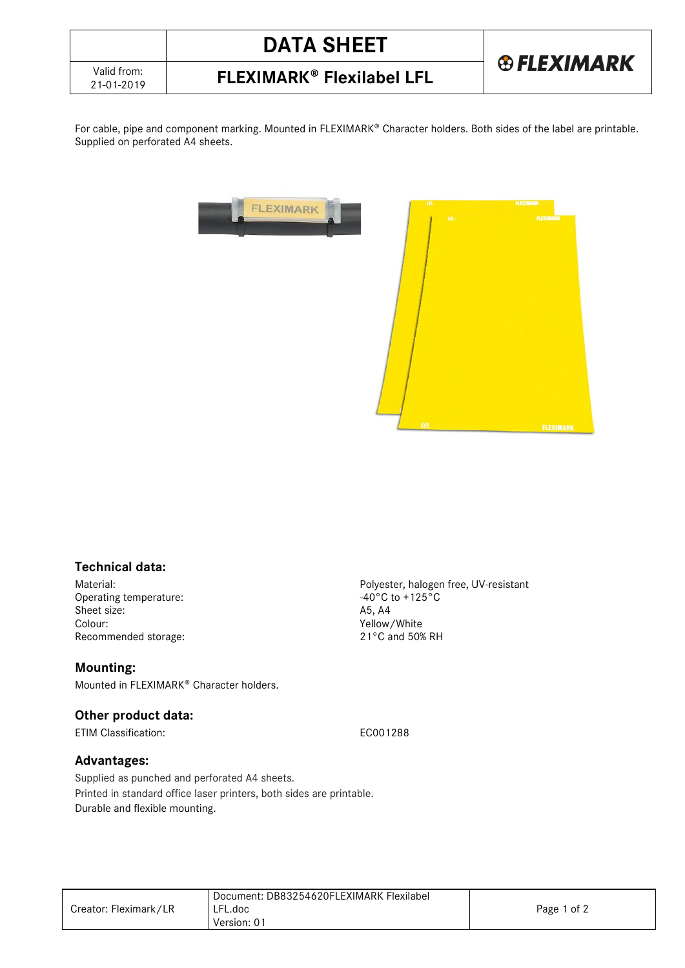

# 21-01-2019 **FLEXIMARK Flexilabel LFL**

For cable, pipe and component marking. Mounted in FLEXIMARK® Character holders. Both sides of the label are printable. Supplied on perforated A4 sheets.



#### **Technical data:**

Operating temperature:  $-40^{\circ}$ C to  $-40^{\circ}$ C to -40<sup>o</sup>C to +125, A4 Sheet size:<br>Colour: Recommended storage:

#### **Mounting:**

Mounted in FLEXIMARK® Character holders.

### **Other product data:**

ETIM Classification: EC001288

#### **Advantages:**

Supplied as punched and perforated A4 sheets. Printed in standard office laser printers, both sides are printable. Durable and flexible mounting.

Creator: Fleximark/LR Document: DB83254620FLEXIMARK Flexilabel LFL.doc Version: 01 Page 1 of 2

Material:<br>
Operating temperature:<br>
Operating temperature:<br>  $-40^{\circ}$ C to +125°C Yellow/White<br>21°C and 50% RH